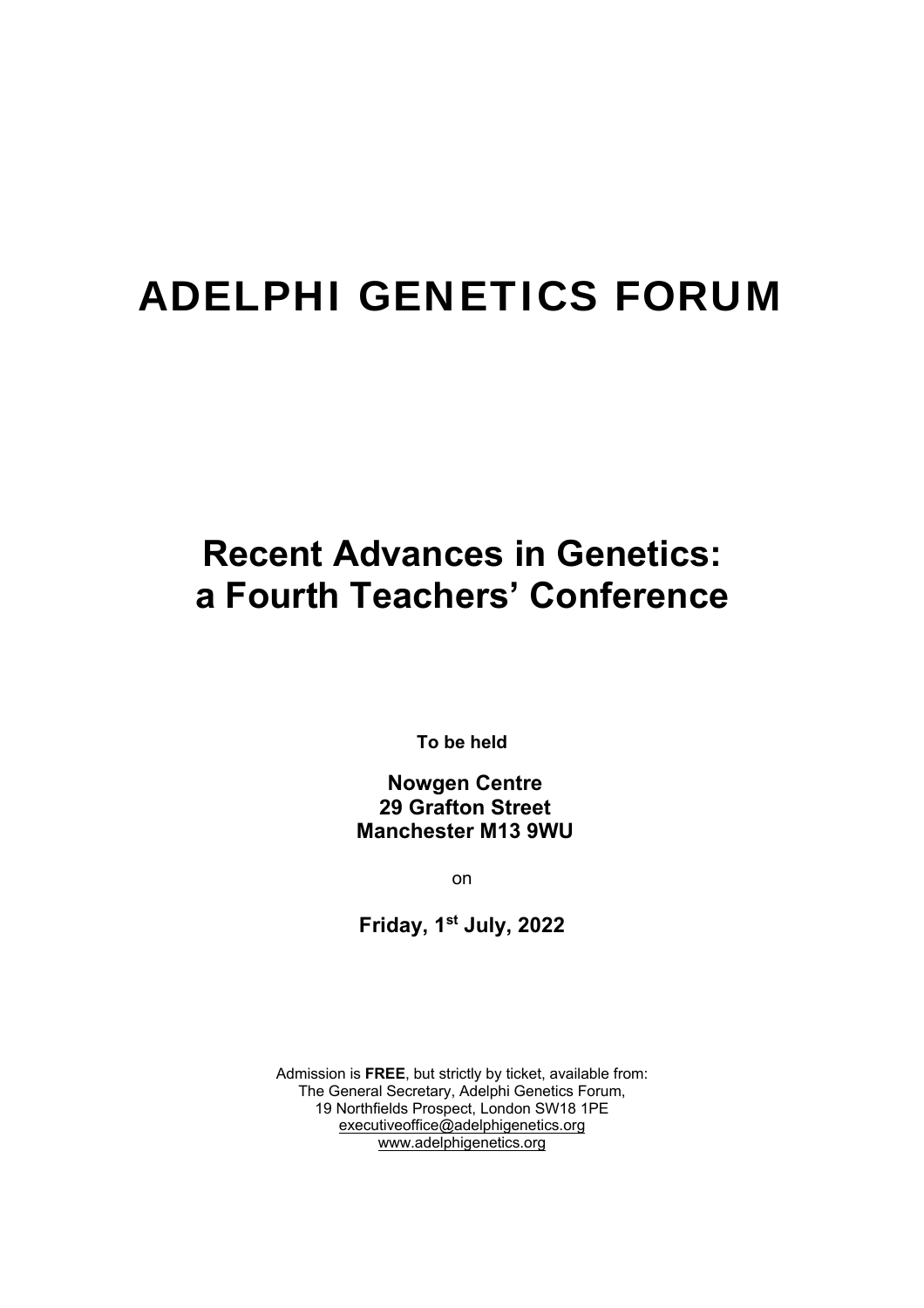# ADELPHI GENETICS FORUM

## **Recent Advances in Genetics: a Fourth Teachers' Conference**

**To be held** 

 **Nowgen Centre 29 Grafton Street Manchester M13 9WU** 

on

**Friday, 1st July, 2022** 

Admission is **FREE**, but strictly by ticket, available from: The General Secretary, Adelphi Genetics Forum, 19 Northfields Prospect, London SW18 1PE executiveoffice@adelphigenetics.org www.adelphigenetics.org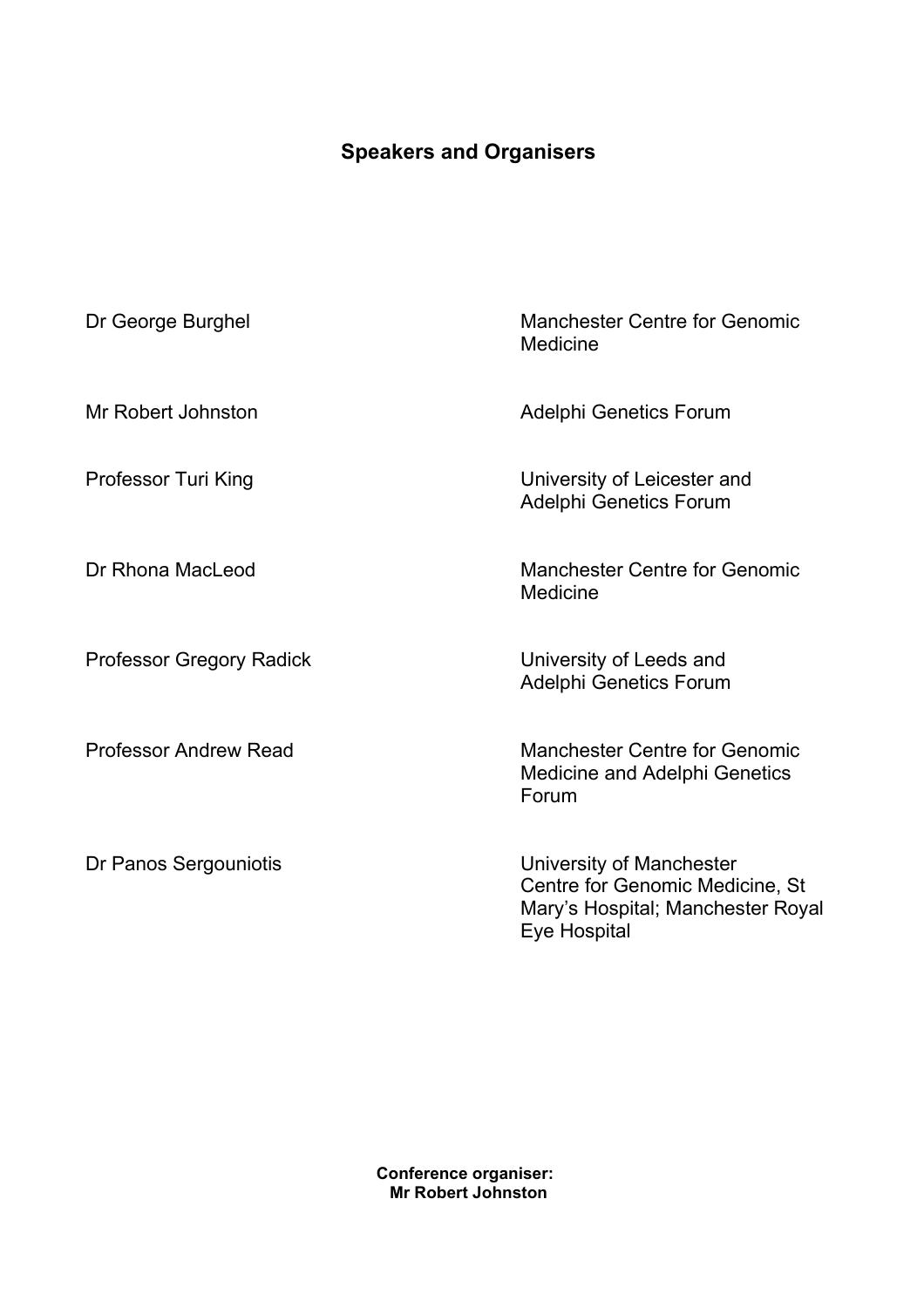### **Speakers and Organisers**

| Dr George Burghel               | <b>Manchester Centre for Genomic</b><br>Medicine                                                                 |
|---------------------------------|------------------------------------------------------------------------------------------------------------------|
| Mr Robert Johnston              | Adelphi Genetics Forum                                                                                           |
| Professor Turi King             | University of Leicester and<br><b>Adelphi Genetics Forum</b>                                                     |
| Dr Rhona MacLeod                | <b>Manchester Centre for Genomic</b><br>Medicine                                                                 |
| <b>Professor Gregory Radick</b> | University of Leeds and<br><b>Adelphi Genetics Forum</b>                                                         |
| <b>Professor Andrew Read</b>    | <b>Manchester Centre for Genomic</b><br>Medicine and Adelphi Genetics<br>Forum                                   |
| Dr Panos Sergouniotis           | University of Manchester<br>Centre for Genomic Medicine, St<br>Mary's Hospital; Manchester Royal<br>Eye Hospital |

**Conference organiser:** **Mr Robert Johnston**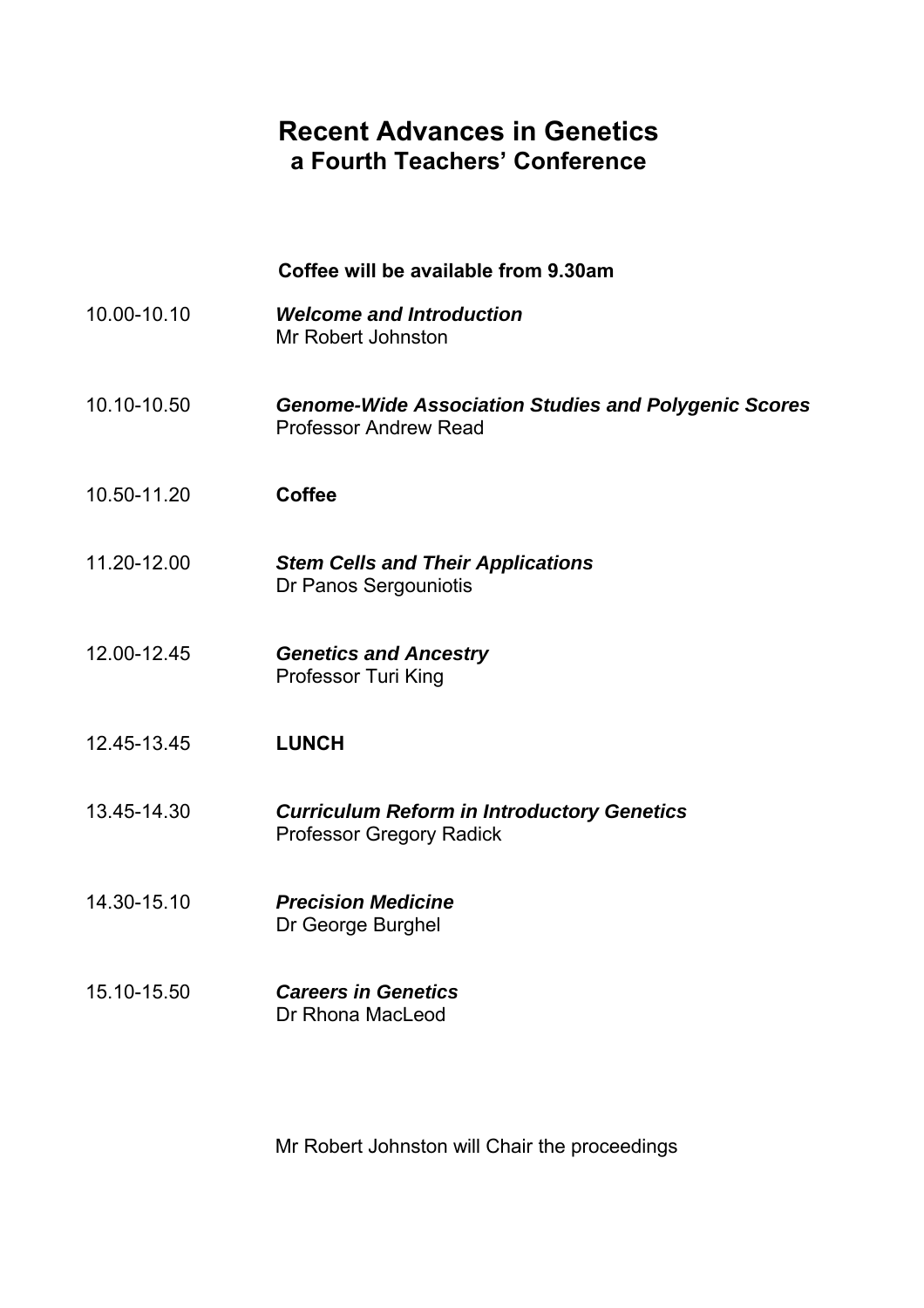#### **Recent Advances in Genetics a Fourth Teachers' Conference**

 **Coffee will be available from 9.30am**  10.00-10.10 *Welcome and Introduction*  Mr Robert Johnston 10.10-10.50 *Genome-Wide Association Studies and Polygenic Scores* Professor Andrew Read 10.50-11.20 **Coffee**  11.20-12.00 *Stem Cells and Their Applications* Dr Panos Sergouniotis 12.00-12.45 *Genetics and Ancestry* Professor Turi King 12.45-13.45 **LUNCH** 13.45-14.30 *Curriculum Reform in Introductory Genetics*  Professor Gregory Radick 14.30-15.10 *Precision Medicine* Dr George Burghel 15.10-15.50 *Careers in Genetics* Dr Rhona MacLeod

Mr Robert Johnston will Chair the proceedings